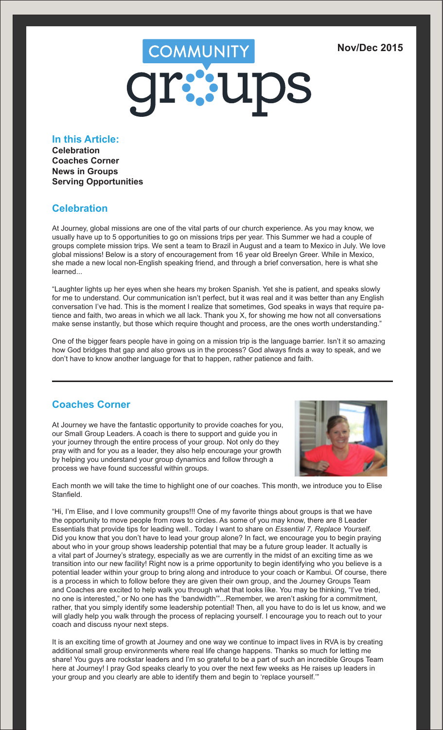# COMMUNITY

# **In this Article:**

**Celebration Coaches Corner News in Groups Serving Opportunities**

## **Celebration**

At Journey, global missions are one of the vital parts of our church experience. As you may know, we usually have up to 5 opportunities to go on missions trips per year. This Summer we had a couple of groups complete mission trips. We sent a team to Brazil in August and a team to Mexico in July. We love global missions! Below is a story of encouragement from 16 year old Breelyn Greer. While in Mexico, she made a new local non-English speaking friend, and through a brief conversation, here is what she learned...

"Laughter lights up her eyes when she hears my broken Spanish. Yet she is patient, and speaks slowly for me to understand. Our communication isn't perfect, but it was real and it was better than any English conversation I've had. This is the moment I realize that sometimes, God speaks in ways that require patience and faith, two areas in which we all lack. Thank you X, for showing me how not all conversations make sense instantly, but those which require thought and process, are the ones worth understanding."

One of the bigger fears people have in going on a mission trip is the language barrier. Isn't it so amazing how God bridges that gap and also grows us in the process? God always finds a way to speak, and we don't have to know another language for that to happen, rather patience and faith.

# **Coaches Corner**

At Journey we have the fantastic opportunity to provide coaches for you, our Small Group Leaders. A coach is there to support and guide you in your journey through the entire process of your group. Not only do they pray with and for you as a leader, they also help encourage your growth by helping you understand your group dynamics and follow through a process we have found successful within groups.



Each month we will take the time to highlight one of our coaches. This month, we introduce you to Elise Stanfield.

"Hi, I'm Elise, and I love community groups!!! One of my favorite things about groups is that we have the opportunity to move people from rows to circles. As some of you may know, there are 8 Leader Essentials that provide tips for leading well.. Today I want to share on *Essential 7, Replace Yourself*. Did you know that you don't have to lead your group alone? In fact, we encourage you to begin praying about who in your group shows leadership potential that may be a future group leader. It actually is a vital part of Journey's strategy, especially as we are currently in the midst of an exciting time as we transition into our new facility! Right now is a prime opportunity to begin identifying who you believe is a potential leader within your group to bring along and introduce to your coach or Kambui. Of course, there is a process in which to follow before they are given their own group, and the Journey Groups Team and Coaches are excited to help walk you through what that looks like. You may be thinking, "I've tried, no one is interested," or No one has the 'bandwidth'"...Remember, we aren't asking for a commitment, rather, that you simply identify some leadership potential! Then, all you have to do is let us know, and we will gladly help you walk through the process of replacing yourself. I encourage you to reach out to your coach and discuss nyour next steps.

It is an exciting time of growth at Journey and one way we continue to impact lives in RVA is by creating additional small group environments where real life change happens. Thanks so much for letting me share! You guys are rockstar leaders and I'm so grateful to be a part of such an incredible Groups Team here at Journey! I pray God speaks clearly to you over the next few weeks as He raises up leaders in your group and you clearly are able to identify them and begin to 'replace yourself.'"